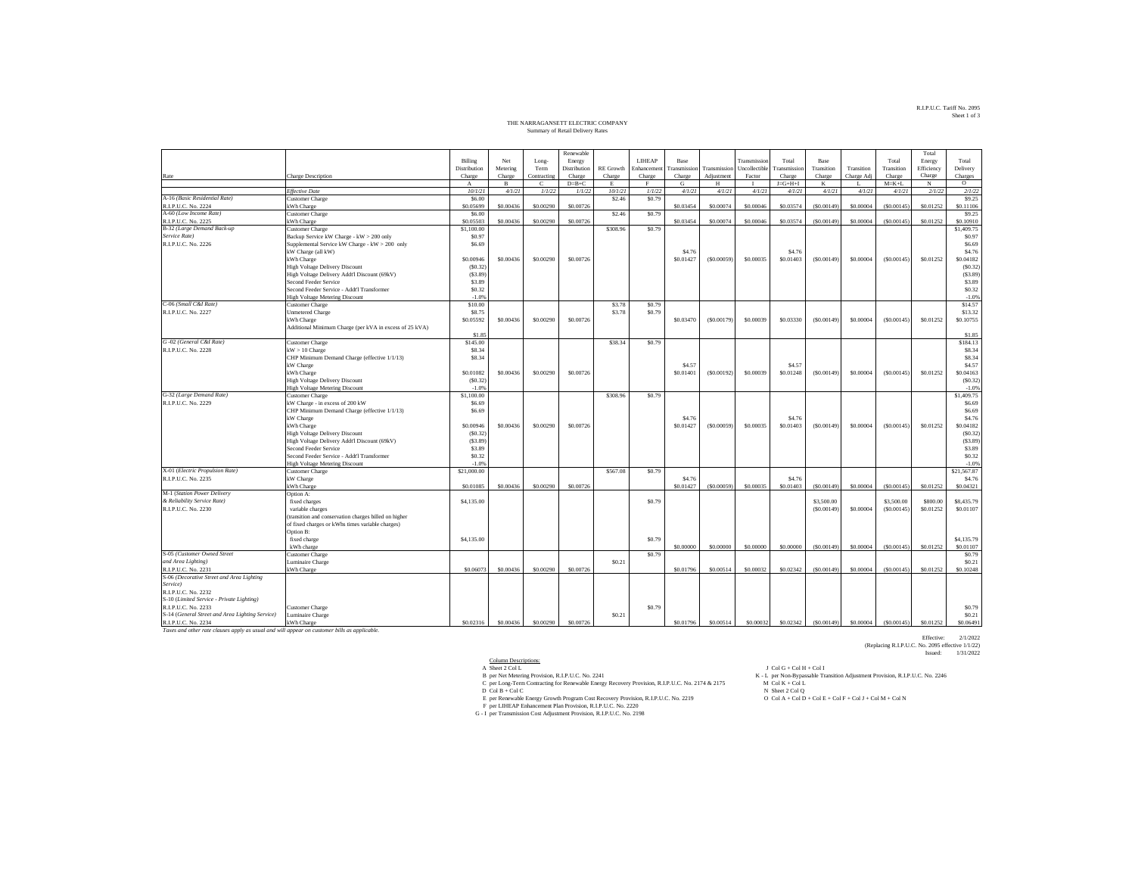## R.I.P.U.C. Tariff No. 2095 Sheet 1 of 3

## THE NARRAGANSETT ELECTRIC COMPANY Summary of Retail Delivery Rates

|                                                                                              |                                                                  |                  |              |             | Renewable    |                   |              |                   |              |               |                 |             |            |             | Total      |                         |
|----------------------------------------------------------------------------------------------|------------------------------------------------------------------|------------------|--------------|-------------|--------------|-------------------|--------------|-------------------|--------------|---------------|-----------------|-------------|------------|-------------|------------|-------------------------|
|                                                                                              |                                                                  | Billing          | Net          | Long-       | Energy       |                   | LIHEAP       | Base              |              | Transmissio   | Total           | <b>Base</b> |            | Total       | Energy     | Total                   |
|                                                                                              |                                                                  | Distribution     | Metering     | Term        | Distribution | <b>RE</b> Growth  | Enhancemen   | ransmission       | Transmission | Uncollectible | Transmission    | Transition  | Transition | Transition  | Efficiency | Delivery                |
| Rate                                                                                         | Charge Description                                               | Charge           | Charge       | Contracting | Charge       | Charge            | Charge       | Charge            | Adjustment   | Factor        | Charge          | Charge      | Charge Adj | Charge      | Charge     | Charges                 |
|                                                                                              |                                                                  | $_{\rm A}$       | $\mathbf{B}$ | Ċ           | $D=B+C$      | E                 | $\mathbf{F}$ | G                 | H            |               | $J = G + H + I$ | K           |            | $M = K + L$ | N          | $\circ$                 |
|                                                                                              | <b>Effective Date</b>                                            | 10/1/21          | 4/1/21       | 1/1/22      | 1/1/22       | 10/1/21           | 1/1/22       | 4/1/21            | 4/1/21       | 4/1/21        | 4/1/21          | 4/1/21      | 4/1/21     | 4/1/21      | 2/1/22     | 2/1/22                  |
| A-16 (Basic Residential Rate)                                                                | <b>Customer Charge</b>                                           | \$6.00           |              |             |              | \$2.46            | \$0.79       |                   |              |               |                 |             |            |             |            | \$9.25                  |
| R.I.P.U.C. No. 2224                                                                          | kWh Charge                                                       | \$0.05699        | \$0,00436    | \$0,00290   | \$0,00726    |                   |              | \$0.03454         | \$0,00074    | \$0.00046     | \$0.03574       | (S0.00149)  | \$0,00004  | (S0,00145)  | \$0.01252  | \$0.11106               |
| A-60 (Low Income Rate)                                                                       | <b>Customer Charge</b>                                           | \$6.00           |              |             |              | \$2.46            | \$0.79       |                   |              |               |                 |             |            |             |            | \$9.25                  |
| R.I.P.U.C. No. 2225                                                                          | kWh Charge                                                       | \$0.05503        | \$0,00436    | \$0,00290   | \$0,00726    |                   |              | \$0.03454         | \$0,00074    | \$0,00046     | \$0,03574       | (S0.00149)  | \$0,00004  | (S0,00145)  | \$0.01252  | \$0,10910               |
| B-32 (Large Demand Back-up                                                                   | <b>Customer Charge</b>                                           | \$1,100.00       |              |             |              | \$308.96          | \$0.79       |                   |              |               |                 |             |            |             |            | \$1,409.75              |
| Service Rate)                                                                                | Backup Service kW Charge - kW > 200 only                         | \$0.97           |              |             |              |                   |              |                   |              |               |                 |             |            |             |            | S <sub>0.97</sub>       |
| R.I.P.U.C. No. 2226                                                                          | Supplemental Service kW Charge - kW > 200 only                   | \$6.69           |              |             |              |                   |              |                   |              |               |                 |             |            |             |            | \$6.69                  |
|                                                                                              | kW Charge (all kW)                                               |                  |              |             |              |                   |              | \$4.76            |              |               | \$4.76          |             |            |             |            | \$4.76                  |
|                                                                                              | kWh Charge                                                       | \$0.00946        | \$0.00436    | \$0,00290   | \$0,00726    |                   |              | \$0.01427         | (S0.00059)   | \$0,00035     | \$0,01403       | (S0.00149)  | \$0.00004  | (S0.00145)  | \$0.01252  | \$0.04182               |
|                                                                                              | High Voltage Delivery Discount                                   | (S0.32)          |              |             |              |                   |              |                   |              |               |                 |             |            |             |            | (S0.32)                 |
|                                                                                              | High Voltage Delivery Addt'l Discount (69kV)                     | (S3.89)          |              |             |              |                   |              |                   |              |               |                 |             |            |             |            | (S3.89)                 |
|                                                                                              | Second Feeder Service                                            | \$3.89           |              |             |              |                   |              |                   |              |               |                 |             |            |             |            | \$3.89                  |
|                                                                                              | Second Feeder Service - Addt'l Transformer                       | \$0.32           |              |             |              |                   |              |                   |              |               |                 |             |            |             |            | \$0.32                  |
|                                                                                              | <b>High Voltage Metering Discount</b>                            | $-1.0%$          |              |             |              |                   |              |                   |              |               |                 |             |            |             |            | $-1.0%$                 |
| C-06 (Small C&I Rate)                                                                        | <b>Customer Charge</b>                                           | \$10.00          |              |             |              | \$3.78            | \$0.79       |                   |              |               |                 |             |            |             |            | \$14.57                 |
| R.I.P.U.C. No. 2227                                                                          | <b>Unmetered Charge</b>                                          | \$8.75           |              |             |              | \$3.78            | \$0.79       |                   |              |               |                 |             |            |             |            | \$13.32                 |
|                                                                                              | kWh Charge                                                       | \$0.05592        | \$0,00436    | \$0,00290   | \$0,00726    |                   |              | \$0.03470         | (S0.00179)   | \$0,00039     | \$0,03330       | (S0,00149)  | \$0,00004  | (S0,00145)  | \$0.01252  | \$0.10755               |
|                                                                                              | Additional Minimum Charge (per kVA in excess of 25 kVA)          |                  |              |             |              |                   |              |                   |              |               |                 |             |            |             |            |                         |
|                                                                                              |                                                                  | \$1.85           |              |             |              |                   |              |                   |              |               |                 |             |            |             |            | \$1.85                  |
| G-02 (General C&I Rate)                                                                      | <b>Customer Charge</b>                                           | \$145.00         |              |             |              | \$38.34           | \$0.79       |                   |              |               |                 |             |            |             |            | \$184.13                |
| R.I.P.U.C. No. 2228                                                                          | $kW > 10$ Charge<br>CHP Minimum Demand Charge (effective 1/1/13) | \$8.34<br>\$8.34 |              |             |              |                   |              |                   |              |               |                 |             |            |             |            | \$8.34<br>\$8.34        |
|                                                                                              | kW Charge                                                        |                  |              |             |              |                   |              | \$4.57            |              |               | \$4.57          |             |            |             |            | \$4.57                  |
|                                                                                              | kWh Charge                                                       | \$0.01082        | \$0.00436    | \$0,00290   | \$0,00726    |                   |              | \$0.01401         | (S0.00192)   | \$0.00039     | \$0.01248       | (S0.00149)  | \$0.00004  | (S0.00145)  | \$0.01252  | \$0.04163               |
|                                                                                              | <b>High Voltage Delivery Discount</b>                            | (S0.32)          |              |             |              |                   |              |                   |              |               |                 |             |            |             |            | (S0.32)                 |
|                                                                                              | <b>High Voltage Metering Discount</b>                            | $-1.09$          |              |             |              |                   |              |                   |              |               |                 |             |            |             |            | $-1.0%$                 |
| G-32 (Large Demand Rate)                                                                     | <b>Customer Charge</b>                                           | \$1,100.00       |              |             |              | \$308.96          | \$0.79       |                   |              |               |                 |             |            |             |            | \$1,409.75              |
| R.I.P.U.C. No. 2229                                                                          | kW Charge - in excess of 200 kW                                  | \$6.69           |              |             |              |                   |              |                   |              |               |                 |             |            |             |            | \$6.69                  |
|                                                                                              | CHP Minimum Demand Charge (effective 1/1/13)                     | \$6.69           |              |             |              |                   |              |                   |              |               |                 |             |            |             |            | \$6.69                  |
|                                                                                              | kW Charge                                                        |                  |              |             |              |                   |              | \$4.76            |              |               | S4.76           |             |            |             |            | \$4.76                  |
|                                                                                              | kWh Charge                                                       | \$0.00946        | \$0.00436    | \$0,00290   | \$0.00726    |                   |              | \$0.01427         | (S0.00059)   | \$0.00035     | \$0.01403       | (S0.00149)  | \$0.00004  | (S0.00145)  | \$0.01252  | \$0.04182               |
|                                                                                              | <b>High Voltage Delivery Discount</b>                            | (S0.32)          |              |             |              |                   |              |                   |              |               |                 |             |            |             |            | (S0.32)                 |
|                                                                                              | High Voltage Delivery Addt'l Discount (69kV)                     | (S3.89)          |              |             |              |                   |              |                   |              |               |                 |             |            |             |            | (S3.89)                 |
|                                                                                              | Second Feeder Service                                            | \$3.89           |              |             |              |                   |              |                   |              |               |                 |             |            |             |            | \$3.89                  |
|                                                                                              | Second Feeder Service - Addt'l Transformer                       | \$0.32           |              |             |              |                   |              |                   |              |               |                 |             |            |             |            | \$0.32                  |
|                                                                                              | <b>High Voltage Metering Discount</b>                            | $-1.09$          |              |             |              |                   |              |                   |              |               |                 |             |            |             |            | $-1.0%$                 |
| X-01 (Electric Propulsion Rate)                                                              | Customer Charge                                                  | \$21,000.00      |              |             |              | \$567.08          | \$0.79       |                   |              |               |                 |             |            |             |            | \$21,567.87             |
| R.I.P.U.C. No. 2235                                                                          | kW Charge                                                        |                  |              |             |              |                   |              | S <sub>4.76</sub> |              |               | S4.76           |             |            |             |            | \$4.76                  |
|                                                                                              | kWh Charge                                                       | \$0,01085        | \$0,00436    | \$0,00290   | \$0,00726    |                   |              | \$0.01427         | (\$0,00059   | \$0.00035     | \$0,01403       | (S0.00149)  | \$0,00004  | (S0,00145)  | \$0.01252  | \$0.04321               |
| M-1 (Station Power Delivery                                                                  | Option A:                                                        |                  |              |             |              |                   |              |                   |              |               |                 |             |            |             |            |                         |
| & Reliability Service Rate)                                                                  | fixed charges                                                    | \$4,135.00       |              |             |              |                   | \$0.79       |                   |              |               |                 | \$3,500.00  |            | \$3,500.00  | \$800.00   | \$8,435.79              |
| R.I.P.U.C. No. 2230                                                                          | variable charges                                                 |                  |              |             |              |                   |              |                   |              |               |                 | (S0.00149)  | \$0.00004  | (S0.00145)  | \$0.01252  | \$0.01107               |
|                                                                                              | (transition and conservation charges billed on higher            |                  |              |             |              |                   |              |                   |              |               |                 |             |            |             |            |                         |
|                                                                                              | of fixed charges or kWhs times variable charges)                 |                  |              |             |              |                   |              |                   |              |               |                 |             |            |             |            |                         |
|                                                                                              | Option B:                                                        | \$4,135.00       |              |             |              |                   | \$0.79       |                   |              |               |                 |             |            |             |            |                         |
|                                                                                              | fixed charge<br>kWh charge                                       |                  |              |             |              |                   |              | \$0,00000         | \$0,00000    | \$0,00000     | \$0,00000       | (S0.00149)  | \$0,00004  | (S0.00145)  | \$0.01252  | \$4,135.79<br>\$0.01107 |
| S-05 (Customer Owned Street                                                                  | <b>Customer Charge</b>                                           |                  |              |             |              |                   | \$0.79       |                   |              |               |                 |             |            |             |            | \$0.79                  |
| and Area Lighting)                                                                           | Luminaire Charge                                                 |                  |              |             |              | \$0.21            |              |                   |              |               |                 |             |            |             |            | \$0.21                  |
| R.I.P.U.C. No. 2231                                                                          | kWh Charge                                                       | \$0,06073        | \$0,00436    | \$0,00290   | \$0,00726    |                   |              | \$0.01796         | \$0,00514    | \$0,00032     | \$0.02342       | (S0.00149)  | \$0,00004  | (S0,00145)  | \$0.01252  | \$0.10248               |
| S-06 (Decorative Street and Area Lighting                                                    |                                                                  |                  |              |             |              |                   |              |                   |              |               |                 |             |            |             |            |                         |
| Service)                                                                                     |                                                                  |                  |              |             |              |                   |              |                   |              |               |                 |             |            |             |            |                         |
| R.I.P.U.C. No. 2232                                                                          |                                                                  |                  |              |             |              |                   |              |                   |              |               |                 |             |            |             |            |                         |
| S-10 (Limited Service - Private Lighting)                                                    |                                                                  |                  |              |             |              |                   |              |                   |              |               |                 |             |            |             |            |                         |
| R.I.P.U.C. No. 2233                                                                          | Customer Charge                                                  |                  |              |             |              |                   | \$0.79       |                   |              |               |                 |             |            |             |            | \$0.79                  |
| S-14 (General Street and Area Lighting Service)                                              | Luminaire Charge                                                 |                  |              |             |              | S <sub>0.21</sub> |              |                   |              |               |                 |             |            |             |            | \$0.21                  |
| R.I.P.U.C. No. 2234                                                                          | kWh Charge                                                       | \$0.02316        | \$0,00436    | \$0,00290   | \$0,00726    |                   |              | \$0.01796         | \$0,00514    | \$0,00032     | \$0.02342       | (S0.00149)  | \$0,00004  | (50,00145)  | \$0.01252  | \$0,06491               |
| Taxes and other rate clauses apply as usual and will appear on customer bills as applicable. |                                                                  |                  |              |             |              |                   |              |                   |              |               |                 |             |            |             |            |                         |

Effective: 2/1/2022 (Replacing R.I.P.U.C. No. 2095 effective 1/1/22) Issued: 1/31/2022

 $\begin{tabular}{ll} \multicolumn{2}{l}{{\bf{A} 6} {\bf{B} 6} {\bf{C} 6} {\bf{C} 7} {\bf{D} 8} {\bf{D} 8} {\bf{D} 9} {\bf{D} 9} {\bf{D} 9} {\bf{D} 9} {\bf{D} 9} {\bf{D} 9} {\bf{D} 9} {\bf{D} 9} {\bf{D} 9} {\bf{D} 9} {\bf{D} 9} {\bf{D} 9} {\bf{D} 9} {\bf{D} 9} {\bf{D} 9} {\bf{D} 9} {\bf{D} 9} {\bf{D} 9} {\bf{D} 9} {\bf$ 

- 
- 
-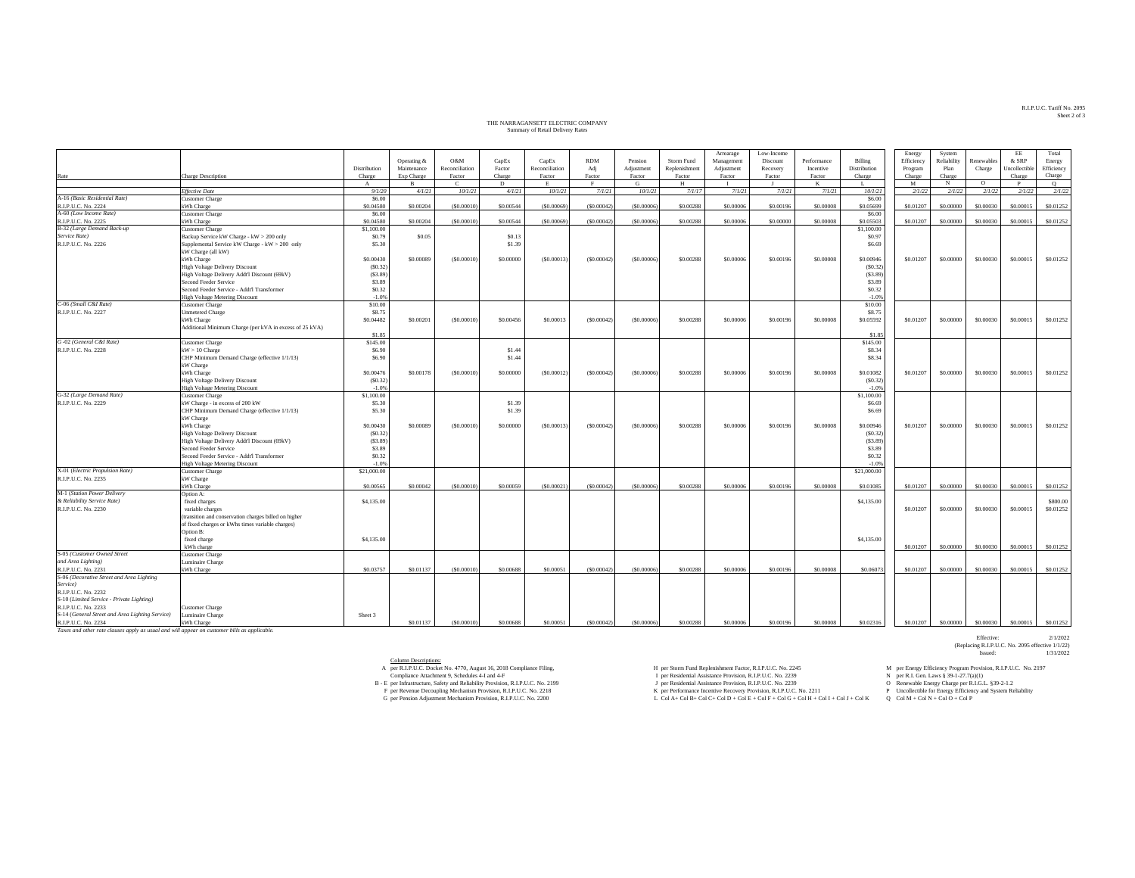## THE NARRAGANSETT ELECTRIC COMPANY THE NARRAGANSETT ELECTRIC COMPANY Summary of Retail Delivery Rates

|                                                                                              |                                                                         |                      |             |                       |           |                |            |              |               | Arrearage  | Low-Income |             |                      | Energy      | System      |            | EE            | Total      |
|----------------------------------------------------------------------------------------------|-------------------------------------------------------------------------|----------------------|-------------|-----------------------|-----------|----------------|------------|--------------|---------------|------------|------------|-------------|----------------------|-------------|-------------|------------|---------------|------------|
|                                                                                              |                                                                         |                      | Operating & | O&M                   | CapEx     | CapEx          | <b>RDM</b> | Pension      | Storm Fund    | Management | Discount   | Performance | Billing              | Efficiency  | Reliability | Renewables | & SRP         | Energy     |
|                                                                                              |                                                                         | Distribution         | Maintenance | Reconciliation        | Factor    | Reconciliation | Adj        | Adjustment   | Replenishment | Adjustment | Recovery   | Incentive   | Distribution         | Program     | Plan        | Charge     | Uncollectible | Efficiency |
| Rate                                                                                         | Charge Description                                                      | Charge               | Exp Charge  | Factor                | Charge    | Factor         | Factor     | Factor       | Factor        | Factor     | Factor     | Factor      | Charge               | Charge      | Charge      |            | Charge        | Charge     |
|                                                                                              | <b>Effective Date</b>                                                   | $\mathbf{A}$         | 4/1/21      | $\epsilon$<br>10/1/21 | D         | 10/1/21        | 7/1/21     | G<br>10/1/21 | н             | 7/1/21     | 7/1/21     | K<br>7/1/21 | L.                   | M<br>2/1/22 | N           | $\circ$    | P             | Q          |
| A-16 (Basic Residential Rate)                                                                | <b>Customer Charge</b>                                                  | 9/1/20<br>\$6.00     |             |                       | 4/1/21    |                |            |              | 7/1/17        |            |            |             | 10/1/21<br>\$6.00    |             | 2/1/22      | 2/1/22     | 2/1/22        | 2/1/22     |
| R.I.P.U.C. No. 2224                                                                          | kWh Charge                                                              | \$0.04580            | \$0,00204   | (\$0,00010            | \$0,00544 | (50,00069)     | (50.00042) | (50,00006)   | \$0.00288     | \$0,00006  | \$0,00196  | \$0,00008   | \$0.05699            | \$0.01207   | \$0,00000   | \$0,00030  | \$0,00015     | \$0.01252  |
| A-60 (Low Income Rate)                                                                       | <b>Customer Charge</b>                                                  | \$6.00               |             |                       |           |                |            |              |               |            |            |             | \$6.00               |             |             |            |               |            |
| R.I.P.U.C. No. 2225                                                                          | kWh Charge                                                              | \$0.04580            | \$0.00204   | (S0,00010)            | \$0,00544 | (50,00069)     | (50.00042) | (50,00006)   | \$0.00288     | \$0,00006  | \$0,00000  | \$0,00008   | \$0.05503            | \$0.01207   | \$0,00000   | \$0,00030  | \$0,00015     | \$0.01252  |
| B-32 (Large Demand Back-up                                                                   | <b>Customer Charge</b>                                                  | \$1,100.00           |             |                       |           |                |            |              |               |            |            |             | \$1,100.00           |             |             |            |               |            |
| Service Rate)                                                                                | Backup Service kW Charge - kW > 200 only                                | \$0.79               | \$0.05      |                       | \$0.13    |                |            |              |               |            |            |             | \$0.97               |             |             |            |               |            |
| R.I.P.U.C. No. 2226                                                                          | Supplemental Service kW Charge - kW > 200 only                          | \$5.30               |             |                       | \$1.39    |                |            |              |               |            |            |             | \$6.69               |             |             |            |               |            |
|                                                                                              | kW Charge (all kW)                                                      |                      |             |                       |           |                |            |              |               |            |            |             |                      |             |             |            |               |            |
|                                                                                              | kWh Charge                                                              | \$0,00430            | \$0,00089   | (S0.00010)            | \$0.00000 | (S0.00013)     | (S0.00042) | (50.00006)   | \$0.00288     | \$0.00006  | \$0.00196  | \$0,00008   | \$0.00946            | \$0.01207   | \$0.00000   | \$0.00030  | \$0.00015     | \$0.01252  |
|                                                                                              | High Voltage Delivery Discount                                          | (S0.32)              |             |                       |           |                |            |              |               |            |            |             | (S0.32)              |             |             |            |               |            |
|                                                                                              | High Voltage Delivery Addt'l Discount (69kV)                            | (S3.89)              |             |                       |           |                |            |              |               |            |            |             | (S3.89)              |             |             |            |               |            |
|                                                                                              | Second Feeder Service                                                   | \$3.89               |             |                       |           |                |            |              |               |            |            |             | \$3.89               |             |             |            |               |            |
|                                                                                              | Second Feeder Service - Addt'l Transformer                              | \$0.32               |             |                       |           |                |            |              |               |            |            |             | \$0.32               |             |             |            |               |            |
|                                                                                              | High Voltage Metering Discount                                          | $-1.0%$              |             |                       |           |                |            |              |               |            |            |             | $-1.0%$              |             |             |            |               |            |
| C-06 (Small C&I Rate)                                                                        | <b>Customer Charge</b>                                                  | \$10.00              |             |                       |           |                |            |              |               |            |            |             | \$10.00              |             |             |            |               |            |
| R.I.P.U.C. No. 2227                                                                          | <b>Unmetered Charge</b>                                                 | \$8.75               |             |                       |           |                |            |              |               |            |            |             | \$8.75               |             |             |            |               |            |
|                                                                                              | kWh Charge                                                              | \$0.04482            | \$0.00201   | (S0.00010)            | \$0.00456 | \$0.00013      | (S0.00042) | ( \$0.00006) | \$0.00288     | \$0.00006  | \$0.00196  | \$0.00008   | \$0.05592            | \$0.01207   | \$0.00000   | \$0.00030  | \$0.00015     | \$0.01252  |
|                                                                                              | Additional Minimum Charge (per kVA in excess of 25 kVA)                 |                      |             |                       |           |                |            |              |               |            |            |             |                      |             |             |            |               |            |
|                                                                                              |                                                                         | \$1.85               |             |                       |           |                |            |              |               |            |            |             | \$1.85               |             |             |            |               |            |
| G-02 (General C&I Rate)                                                                      | <b>Customer Charge</b>                                                  | \$145.00             |             |                       |           |                |            |              |               |            |            |             | \$145.00             |             |             |            |               |            |
| R.I.P.U.C. No. 2228                                                                          | $kW > 10$ Charge                                                        | \$6.90               |             |                       | \$1.44    |                |            |              |               |            |            |             | \$8.34               |             |             |            |               |            |
|                                                                                              | CHP Minimum Demand Charge (effective 1/1/13)                            | \$6.90               |             |                       | \$1.44    |                |            |              |               |            |            |             | \$8.34               |             |             |            |               |            |
|                                                                                              | kW Charge                                                               |                      |             |                       |           |                |            |              |               |            |            |             |                      |             |             | \$0,00030  |               | \$0.01252  |
|                                                                                              | kWh Charge                                                              | \$0,00476<br>(S0.32) | \$0,00178   | (S0,00010             | \$0,00000 | (S0,00012)     | (S0.00042) | (50,00006)   | \$0,00288     | \$0,00006  | \$0,00196  | \$0,00008   | \$0,01082<br>(S0.32) | \$0.01207   | \$0,00000   |            | \$0,00015     |            |
|                                                                                              | <b>High Voltage Delivery Discount</b><br>High Voltage Metering Discount | $-1.0%$              |             |                       |           |                |            |              |               |            |            |             | $-1.0%$              |             |             |            |               |            |
| G-32 (Large Demand Rate)                                                                     | <b>Customer Charge</b>                                                  | \$1,100.00           |             |                       |           |                |            |              |               |            |            |             | \$1,100.00           |             |             |            |               |            |
| R.I.P.U.C. No. 2229                                                                          | kW Charge - in excess of 200 kW                                         | \$5.30               |             |                       | \$1.39    |                |            |              |               |            |            |             | \$6.69               |             |             |            |               |            |
|                                                                                              | CHP Minimum Demand Charge (effective 1/1/13)                            | \$5.30               |             |                       | \$1.39    |                |            |              |               |            |            |             | \$6.69               |             |             |            |               |            |
|                                                                                              | kW Charge                                                               |                      |             |                       |           |                |            |              |               |            |            |             |                      |             |             |            |               |            |
|                                                                                              | kWh Charge                                                              | \$0,00430            | \$0,00089   | (S0,00010)            | \$0,00000 | (S0,00013)     | (S0.00042) | (50,00006)   | \$0,00288     | \$0,00006  | \$0,00196  | \$0,00008   | \$0,00946            | \$0.01207   | \$0,00000   | \$0,00030  | \$0,00015     | \$0.01252  |
|                                                                                              | <b>High Voltage Delivery Discount</b>                                   | (S0.32)              |             |                       |           |                |            |              |               |            |            |             | (S0.32)              |             |             |            |               |            |
|                                                                                              | High Voltage Delivery Addt'l Discount (69kV)                            | (S3.89)              |             |                       |           |                |            |              |               |            |            |             | (S3.89)              |             |             |            |               |            |
|                                                                                              | Second Feeder Service                                                   | \$3.89               |             |                       |           |                |            |              |               |            |            |             | \$3.89               |             |             |            |               |            |
|                                                                                              | Second Feeder Service - Addt'l Transformer                              | \$0.32               |             |                       |           |                |            |              |               |            |            |             | \$0.32               |             |             |            |               |            |
|                                                                                              | High Voltage Metering Discount                                          | $-1.0%$              |             |                       |           |                |            |              |               |            |            |             | $-1.0%$              |             |             |            |               |            |
| X-01 (Electric Propulsion Rate)                                                              | <b>Customer Charge</b>                                                  | \$21,000.00          |             |                       |           |                |            |              |               |            |            |             | \$21,000.00          |             |             |            |               |            |
| R.I.P.U.C. No. 2235                                                                          | kW Charge                                                               |                      |             |                       |           |                |            |              |               |            |            |             |                      |             |             |            |               |            |
|                                                                                              | kWh Charge                                                              | \$0,00565            | \$0,00042   | (S0.0001)             | \$0,00059 | (S0,00021)     | (S0,00042) | (50,00006    | \$0,00288     | \$0,00006  | \$0,00196  | \$0,00008   | \$0,01085            | \$0.01207   | \$0,00000   | \$0,00030  | \$0,00015     | \$0,01252  |
| M-1 (Station Power Delivery                                                                  | Option A:                                                               |                      |             |                       |           |                |            |              |               |            |            |             |                      |             |             |            |               |            |
| & Reliability Service Rate)                                                                  | fixed charges                                                           | \$4,135.00           |             |                       |           |                |            |              |               |            |            |             | \$4,135.00           |             |             |            |               | \$800.00   |
| R.I.P.U.C. No. 2230                                                                          | variable charges                                                        |                      |             |                       |           |                |            |              |               |            |            |             |                      | \$0.01207   | \$0.00000   | \$0.00030  | \$0.00015     | \$0.01252  |
|                                                                                              | (transition and conservation charges billed on higher                   |                      |             |                       |           |                |            |              |               |            |            |             |                      |             |             |            |               |            |
|                                                                                              | of fixed charges or kWhs times variable charges)<br>Option B:           |                      |             |                       |           |                |            |              |               |            |            |             |                      |             |             |            |               |            |
|                                                                                              | fixed charge                                                            | \$4,135.00           |             |                       |           |                |            |              |               |            |            |             | \$4,135.00           |             |             |            |               |            |
|                                                                                              | kWh charge                                                              |                      |             |                       |           |                |            |              |               |            |            |             |                      | \$0.01207   | \$0,00000   | \$0,00030  | \$0,00015     | \$0.01252  |
| S-05 (Customer Owned Street                                                                  | <b>Customer Charge</b>                                                  |                      |             |                       |           |                |            |              |               |            |            |             |                      |             |             |            |               |            |
| and Area Lighting)                                                                           | Juminaire Charge                                                        |                      |             |                       |           |                |            |              |               |            |            |             |                      |             |             |            |               |            |
| R.I.P.U.C. No. 2231                                                                          | kWh Charge                                                              | \$0.03757            | \$0.01137   | (S0,00010)            | \$0,00688 | \$0,00051      | (S0.00042) | (50,00006)   | \$0,00288     | \$0,00006  | \$0,00196  | \$0,00008   | \$0,06073            | \$0.01207   | \$0,00000   | \$0,00030  | \$0,00015     | \$0.01252  |
| S-06 (Decorative Street and Area Lighting                                                    |                                                                         |                      |             |                       |           |                |            |              |               |            |            |             |                      |             |             |            |               |            |
| Service)                                                                                     |                                                                         |                      |             |                       |           |                |            |              |               |            |            |             |                      |             |             |            |               |            |
| R.I.P.U.C. No. 2232                                                                          |                                                                         |                      |             |                       |           |                |            |              |               |            |            |             |                      |             |             |            |               |            |
| S-10 (Limited Service - Private Lighting)                                                    |                                                                         |                      |             |                       |           |                |            |              |               |            |            |             |                      |             |             |            |               |            |
| R.I.P.U.C. No. 2233                                                                          | Customer Charge                                                         |                      |             |                       |           |                |            |              |               |            |            |             |                      |             |             |            |               |            |
| S-14 (General Street and Area Lighting Service)                                              | Juminaire Charge                                                        | Sheet 3              |             |                       |           |                |            |              |               |            |            |             |                      |             |             |            |               |            |
| R.I.P.U.C. No. 2234                                                                          | kWh Charge                                                              |                      | \$0.01137   | (S0,00010)            | \$0,00688 | \$0,00051      | (S0.00042) | (50,00006)   | \$0,00288     | \$0,00006  | \$0,00196  | \$0,00008   | \$0.02316            | \$0.01207   | \$0,00000   | \$0,00030  | \$0,00015     | \$0,01252  |
| Taxes and other rate clauses apply as usual and will appear on customer bills as applicable. |                                                                         |                      |             |                       |           |                |            |              |               |            |            |             |                      |             |             |            |               |            |

Column Descriptions:

per R.I.P.U.C. Docket No. 4770, August 16, 2018 Compliance Filing, Proceeding, Provision, R.I.P.U.C. No. 2197 and Replenishment Factor, R.I.P.U.C. No. 2245 M per Energy Efficiency Program Provision, R.I.P.U.C. No. 2197

Compliance Attachment 9, Schedules 4-I and 4-F

Effective: 201/2022<br>(Replacing R.I.P.U.C. No. 2095 effective 1/1/22)<br>Issued: 1/31/2022

A per RLP.U.C. Docket No. 4770, August 16, 2018 Compliance Piling, Heather Hing, Heather Hing, Heather Hing, Heather Hing, Heather Hing, Heather Hing, Heather Hing, Northern Properties (Suppliance Price) Heather August 16

- 
- 
- 

R.I.P.U.C. Tariff No. 2095 R.I.P.U.C. Tariff No. 2095 Sheet 2 of 3